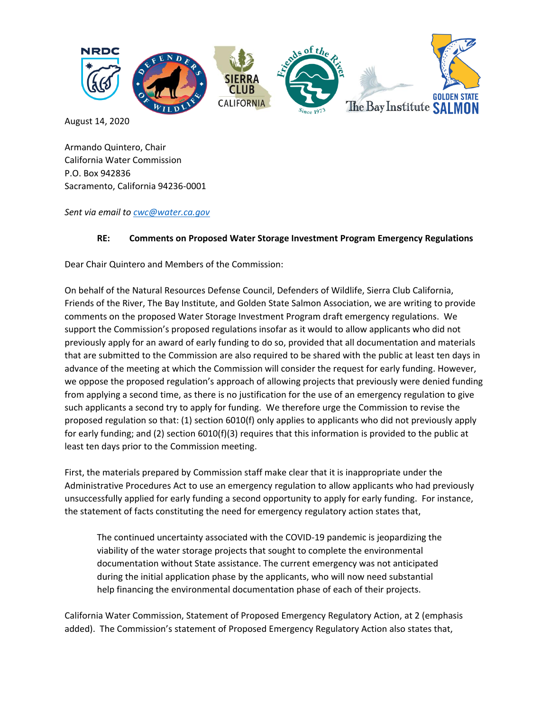

August 14, 2020

Armando Quintero, Chair California Water Commission P.O. Box 942836 Sacramento, California 94236-0001

*Sent via email t[o cwc@water.ca.gov](mailto:cwc@water.ca.gov)*

## **RE: Comments on Proposed Water Storage Investment Program Emergency Regulations**

Dear Chair Quintero and Members of the Commission:

On behalf of the Natural Resources Defense Council, Defenders of Wildlife, Sierra Club California, Friends of the River, The Bay Institute, and Golden State Salmon Association, we are writing to provide comments on the proposed Water Storage Investment Program draft emergency regulations. We support the Commission's proposed regulations insofar as it would to allow applicants who did not previously apply for an award of early funding to do so, provided that all documentation and materials that are submitted to the Commission are also required to be shared with the public at least ten days in advance of the meeting at which the Commission will consider the request for early funding. However, we oppose the proposed regulation's approach of allowing projects that previously were denied funding from applying a second time, as there is no justification for the use of an emergency regulation to give such applicants a second try to apply for funding. We therefore urge the Commission to revise the proposed regulation so that: (1) section 6010(f) only applies to applicants who did not previously apply for early funding; and (2) section 6010(f)(3) requires that this information is provided to the public at least ten days prior to the Commission meeting.

First, the materials prepared by Commission staff make clear that it is inappropriate under the Administrative Procedures Act to use an emergency regulation to allow applicants who had previously unsuccessfully applied for early funding a second opportunity to apply for early funding. For instance, the statement of facts constituting the need for emergency regulatory action states that,

The continued uncertainty associated with the COVID-19 pandemic is jeopardizing the viability of the water storage projects that sought to complete the environmental documentation without State assistance. The current emergency was not anticipated during the initial application phase by the applicants, who will now need substantial help financing the environmental documentation phase of each of their projects.

California Water Commission, Statement of Proposed Emergency Regulatory Action, at 2 (emphasis added). The Commission's statement of Proposed Emergency Regulatory Action also states that,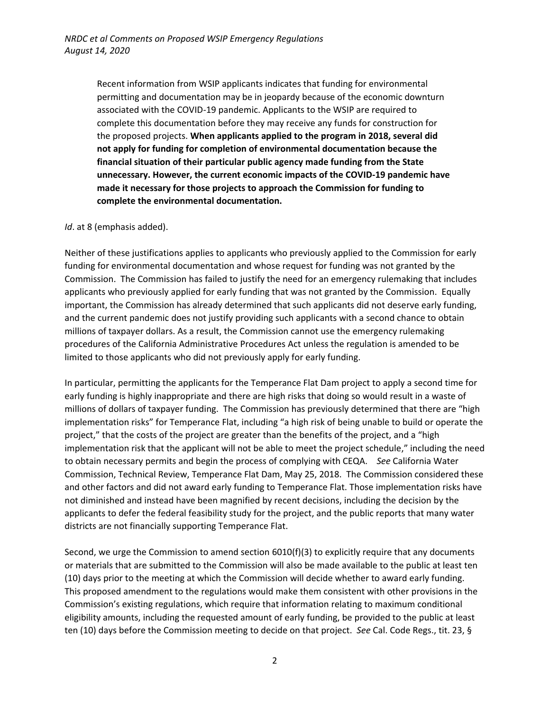Recent information from WSIP applicants indicates that funding for environmental permitting and documentation may be in jeopardy because of the economic downturn associated with the COVID-19 pandemic. Applicants to the WSIP are required to complete this documentation before they may receive any funds for construction for the proposed projects. **When applicants applied to the program in 2018, several did not apply for funding for completion of environmental documentation because the financial situation of their particular public agency made funding from the State unnecessary. However, the current economic impacts of the COVID-19 pandemic have made it necessary for those projects to approach the Commission for funding to complete the environmental documentation.**

## *Id*. at 8 (emphasis added).

Neither of these justifications applies to applicants who previously applied to the Commission for early funding for environmental documentation and whose request for funding was not granted by the Commission. The Commission has failed to justify the need for an emergency rulemaking that includes applicants who previously applied for early funding that was not granted by the Commission. Equally important, the Commission has already determined that such applicants did not deserve early funding, and the current pandemic does not justify providing such applicants with a second chance to obtain millions of taxpayer dollars. As a result, the Commission cannot use the emergency rulemaking procedures of the California Administrative Procedures Act unless the regulation is amended to be limited to those applicants who did not previously apply for early funding.

In particular, permitting the applicants for the Temperance Flat Dam project to apply a second time for early funding is highly inappropriate and there are high risks that doing so would result in a waste of millions of dollars of taxpayer funding. The Commission has previously determined that there are "high implementation risks" for Temperance Flat, including "a high risk of being unable to build or operate the project," that the costs of the project are greater than the benefits of the project, and a "high implementation risk that the applicant will not be able to meet the project schedule," including the need to obtain necessary permits and begin the process of complying with CEQA. *See* California Water Commission, Technical Review, Temperance Flat Dam, May 25, 2018. The Commission considered these and other factors and did not award early funding to Temperance Flat. Those implementation risks have not diminished and instead have been magnified by recent decisions, including the decision by the applicants to defer the federal feasibility study for the project, and the public reports that many water districts are not financially supporting Temperance Flat.

Second, we urge the Commission to amend section 6010(f)(3) to explicitly require that any documents or materials that are submitted to the Commission will also be made available to the public at least ten (10) days prior to the meeting at which the Commission will decide whether to award early funding. This proposed amendment to the regulations would make them consistent with other provisions in the Commission's existing regulations, which require that information relating to maximum conditional eligibility amounts, including the requested amount of early funding, be provided to the public at least ten (10) days before the Commission meeting to decide on that project. *See* Cal. Code Regs., tit. 23, §